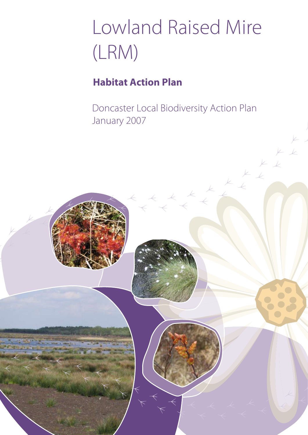# Lowland Raised Mire (LRM)

## **Habitat Action Plan**

Doncaster Local Biodiversity Action Plan January 2007

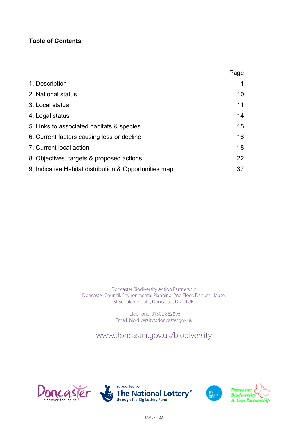#### **Table of Contents**

|                                                        | Page |
|--------------------------------------------------------|------|
| 1. Description                                         |      |
| 2. National status                                     | 10   |
| 3. Local status                                        | 11   |
| 4. Legal status                                        | 14   |
| 5. Links to associated habitats & species              | 15   |
| 6. Current factors causing loss or decline             | 16   |
| 7. Current local action                                | 18   |
| 8. Objectives, targets & proposed actions              | 22   |
| 9. Indicative Habitat distribution & Opportunities map | 37   |

Doncaster Biodiversity Action Partnership Doncaster Council, Environmental Planning, 2nd Floor, Danum House, St Sepulchre Gate, Doncaster, DN1 1UB.

> Telephone: 01302 862896 Email: bio.diversity@doncaster.gov.uk

www.doncaster.gov.uk/biodiversity

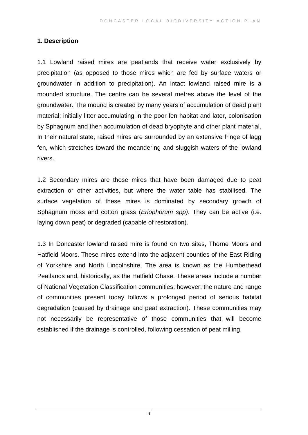#### **1. Description**

1.1 Lowland raised mires are peatlands that receive water exclusively by precipitation (as opposed to those mires which are fed by surface waters or groundwater in addition to precipitation). An intact lowland raised mire is a mounded structure. The centre can be several metres above the level of the groundwater. The mound is created by many years of accumulation of dead plant material; initially litter accumulating in the poor fen habitat and later, colonisation by Sphagnum and then accumulation of dead bryophyte and other plant material. In their natural state, raised mires are surrounded by an extensive fringe of lagg fen, which stretches toward the meandering and sluggish waters of the lowland rivers.

1.2 Secondary mires are those mires that have been damaged due to peat extraction or other activities, but where the water table has stabilised. The surface vegetation of these mires is dominated by secondary growth of Sphagnum moss and cotton grass (*Eriophorum spp)*. They can be active (i.e. laying down peat) or degraded (capable of restoration).

1.3 In Doncaster lowland raised mire is found on two sites, Thorne Moors and Hatfield Moors. These mires extend into the adjacent counties of the East Riding of Yorkshire and North Lincolnshire. The area is known as the Humberhead Peatlands and, historically, as the Hatfield Chase. These areas include a number of National Vegetation Classification communities; however, the nature and range of communities present today follows a prolonged period of serious habitat degradation (caused by drainage and peat extraction). These communities may not necessarily be representative of those communities that will become established if the drainage is controlled, following cessation of peat milling.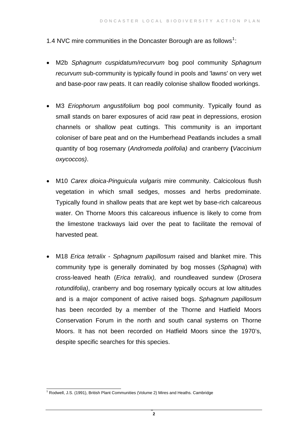[1](#page-3-0).4 NVC mire communities in the Doncaster Borough are as follows<sup>1</sup>:

- M2b *Sphagnum cuspidatum/recurvum* bog pool community *Sphagnum recurvum* sub-community is typically found in pools and 'lawns' on very wet and base-poor raw peats. It can readily colonise shallow flooded workings.
- M3 *Eriophorum angustifolium* bog pool community. Typically found as small stands on barer exposures of acid raw peat in depressions, erosion channels or shallow peat cuttings. This community is an important coloniser of bare peat and on the Humberhead Peatlands includes a small quantity of bog rosemary (*Andromeda polifolia)* and cranberry **(***Vaccinium oxycoccos)*.
- M10 *Carex dioica-Pinguicula vulgaris* mire community. Calcicolous flush vegetation in which small sedges, mosses and herbs predominate. Typically found in shallow peats that are kept wet by base-rich calcareous water. On Thorne Moors this calcareous influence is likely to come from the limestone trackways laid over the peat to facilitate the removal of harvested peat.
- M18 *Erica tetralix Sphagnum papillosum* raised and blanket mire. This community type is generally dominated by bog mosses (*Sphagna*) with cross-leaved heath (*Erica tetralix),* and roundleaved sundew (*Drosera rotundifolia)*, cranberry and bog rosemary typically occurs at low altitudes and is a major component of active raised bogs. *Sphagnum papillosum* has been recorded by a member of the Thorne and Hatfield Moors Conservation Forum in the north and south canal systems on Thorne Moors. It has not been recorded on Hatfield Moors since the 1970's, despite specific searches for this species.

<span id="page-3-0"></span> 1 Rodwell, J.S. (1991), British Plant Communities (Volume 2) Mires and Heaths. Cambridge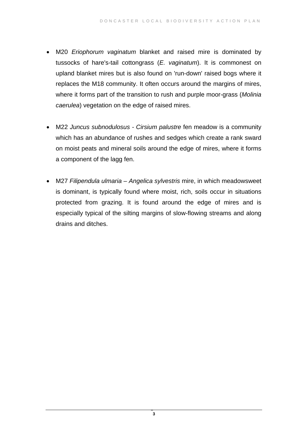- M20 *Eriophorum vaginatum* blanket and raised mire is dominated by tussocks of hare's-tail cottongrass (*E. vaginatum*). It is commonest on upland blanket mires but is also found on 'run-down' raised bogs where it replaces the M18 community. It often occurs around the margins of mires, where it forms part of the transition to rush and purple moor-grass (*Molinia caerulea*) vegetation on the edge of raised mires.
- M22 *Juncus subnodulosus Cirsium palustre* fen meadow is a community which has an abundance of rushes and sedges which create a rank sward on moist peats and mineral soils around the edge of mires, where it forms a component of the lagg fen.
- M27 *Filipendula ulmaria Angelica sylvestris* mire, in which meadowsweet is dominant, is typically found where moist, rich, soils occur in situations protected from grazing. It is found around the edge of mires and is especially typical of the silting margins of slow-flowing streams and along drains and ditches.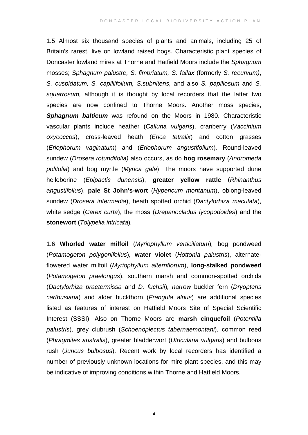1.5 Almost six thousand species of plants and animals, including 25 of Britain's rarest, live on lowland raised bogs. Characteristic plant species of Doncaster lowland mires at Thorne and Hatfield Moors include the *Sphagnum* mosses; *Sphagnum palustre, S. fimbriatum, S. fallax* (formerly *S. recurvum)*, *S. cuspidatum, S. capillifolium, S.subnitens,* and also *S. papillosum* and *S. squarrosum,* although it is thought by local recorders that the latter two species are now confined to Thorne Moors. Another moss species, **Sphagnum balticum** was refound on the Moors in 1980. Characteristic vascular plants include heather (*Calluna vulgaris*), cranberry (*Vaccinium oxycoccos*), cross-leaved heath (*Erica tetralix*) and cotton grasses (*Eriophorum vaginatum*) and (*Eriophorum angustifolium*)*.* Round-leaved sundew (*Drosera rotundifolia)* also occurs, as do **bog rosemary** (*Andromeda polifolia*) and bog myrtle (*Myrica gale*). The moors have supported dune helleborine (*Epipactis dunensis*), **greater yellow rattle** (*Rhinanthus angustifolius*), **pale St John's-wort** (*Hypericum montanum*), oblong-leaved sundew (*Drosera intermedia*), heath spotted orchid (*Dactylorhiza maculata*), white sedge (*Carex curta*), the moss (*Drepanocladus lycopodoides*) and the **stonewort** (*Tolypella intricata*)*.* 

1.6 **Whorled water milfoil** (*Myriophyllum verticillatum*)*,* bog pondweed (*Potamogeton polygonifolius*)*,* **water violet** (*Hottonia palustris*), alternateflowered water milfoil (*Myriophyllum alternflorum*), **long-stalked pondweed** (*Potamogeton praelongus*), southern marsh and common-spotted orchids (*Dactylorhiza praetermissa* and *D. fuchsii*)*, narrow* buckler fern (*Dryopteris carthusiana*) and alder buckthorn (*Frangula alnus*) are additional species listed as features of interest on Hatfield Moors Site of Special Scientific Interest (SSSI). Also on Thorne Moors are **marsh cinquefoil** (*Potentilla palustris*)*,* grey clubrush (*Schoenoplectus tabernaemontani*), common reed (*Phragmites australis*), greater bladderwort (*Utricularia vulgaris*) and bulbous rush (*Juncus bulbosus*). Recent work by local recorders has identified a number of previously unknown locations for mire plant species, and this may be indicative of improving conditions within Thorne and Hatfield Moors.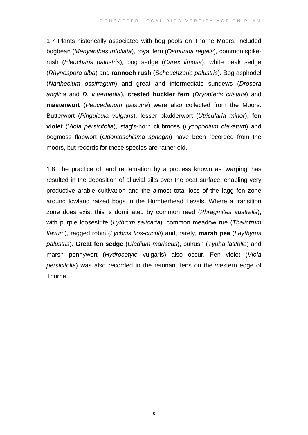1.7 Plants historically associated with bog pools on Thorne Moors, included bogbean (*Menyanthes trifoliata*), royal fern (*Osmunda regalis*)*,* common spikerush (*Eleocharis palustris*)*,* bog sedge (*Carex limosa*), white beak sedge (*Rhynospora alba*) and **rannoch rush** (*Scheuchzeria palustris*)*.* Bog asphodel (*Narthecium ossifragum*) and great and intermediate sundews (*Drosera anglica* and *D. intermedia*), **crested buckler fern** (*Dryopteris cristata*) and **masterwort** (*Peucedanum palsutre*) were also collected from the Moors. Butterwort (*Pinguicula vulgaris*), lesser bladderwort (*Utricularia minor*), **fen violet** (*Viola persicifolia*), stag's-horn clubmoss (*Lycopodium clavatum*) and bogmoss flapwort (*Odontoschisma sphagni*) have been recorded from the moors, but records for these species are rather old.

1.8 The practice of land reclamation by a process known as 'warping' has resulted in the deposition of alluvial silts over the peat surface, enabling very productive arable cultivation and the almost total loss of the lagg fen zone around lowland raised bogs in the Humberhead Levels. Where a transition zone does exist this is dominated by common reed (*Phragmites australis*), with purple loosestrife (*Lythrum salicaria*), common meadow rue (*Thalictrum flavum*), ragged robin (*Lychnis flos-cuculi*) and, rarely, **marsh pea** (*Laythyrus palustris*). **Great fen sedge** (*Cladium mariscus*), bulrush (*Typha latifolia*) and marsh pennywort (*Hydrocotyle* vulgaris) also occur. Fen violet (*Viola persicifolia*) was also recorded in the remnant fens on the western edge of Thorne.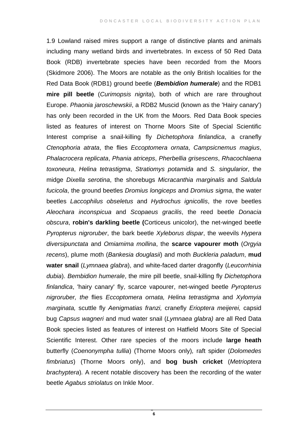1.9 Lowland raised mires support a range of distinctive plants and animals including many wetland birds and invertebrates. In excess of 50 Red Data Book (RDB) invertebrate species have been recorded from the Moors (Skidmore 2006). The Moors are notable as the only British localities for the Red Data Book (RDB1) ground beetle (*Bembidion humerale*) and the RDB1 **mire pill beetle** (*Curimopsis nigrita*), both of which are rare throughout Europe. *Phaonia jaroschewskii*, a RDB2 Muscid (known as the 'Hairy canary') has only been recorded in the UK from the Moors. Red Data Book species listed as features of interest on Thorne Moors Site of Special Scientific Interest comprise a snail-killing fly *Dichetophora finlandica*, a cranefly *Ctenophoria atrata*, the flies *Eccoptomera ornata*, *Campsicnemus magius*, *Phalacrocera replicata*, *Phania atriceps*, *Pherbellia grisescens*, *Rhacochlaena toxoneura*, *Helina tetrastigma*, *Stratiomys potamida* and *S. singularior*, the midge *Dixella serotina*, the shorebugs *Micracanthia marginalis* and *Saldula fucicola*, the ground beetles *Dromius longiceps* and *Dromius sigma*, the water beetles *Laccophilus obseletus* and *Hydrochus ignicollis*, the rove beetles *Aleochara inconspicua* and *Scopaeus gracilis*, the reed beetle *Donacia obscura*, **robin's darkling beetle (**Corticeus unicolor), the net-winged beetle *Pyropterus nigroruber*, the bark beetle *Xyleborus dispar*, the weevils *Hypera diversipunctata* and *Omiamima mollina*, the **scarce vapourer moth** (*Orgyia recens*), plume moth (*Bankesia douglasii*) and moth *Buckleria paladum*, **mud water snail** (*Lymnaea glabra*), and white-faced darter dragonfly (*Leucorrhinia dubia*). *Bembidion humerale*, the mire pill beetle, snail-killing fly *Dichetophora finlandica*, 'hairy canary' fly, scarce vapourer, net-winged beetle *Pyropterus nigroruber, the* flies *Eccoptomera ornata, Helina tetrastigma* and *Xylomyia marginata,* scuttle fly *Aenigmatias franzi,* cranefly *Erioptera meijerei,* capsid bug *Capsus wagneri* and mud water snail (*Lymnaea glabra)* are all Red Data Book species listed as features of interest on Hatfield Moors Site of Special Scientific Interest. Other rare species of the moors include **large heath** butterfly (*Coenonympha tullia*) (Thorne Moors only)*,* raft spider (*Dolomedes fimbriatus*) (Thorne Moors only), and **bog bush cricket** (*Metrioptera brachyptera*)*.* A recent notable discovery has been the recording of the water beetle *Agabus striolatus* on Inkle Moor.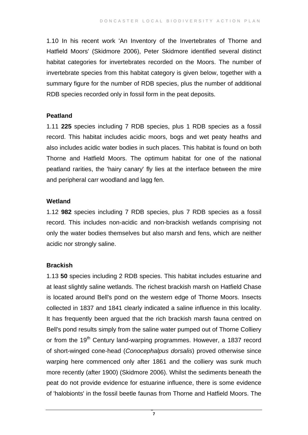1.10 In his recent work 'An Inventory of the Invertebrates of Thorne and Hatfield Moors' (Skidmore 2006), Peter Skidmore identified several distinct habitat categories for invertebrates recorded on the Moors. The number of invertebrate species from this habitat category is given below, together with a summary figure for the number of RDB species, plus the number of additional RDB species recorded only in fossil form in the peat deposits.

#### **Peatland**

1.11 **225** species including 7 RDB species, plus 1 RDB species as a fossil record. This habitat includes acidic moors, bogs and wet peaty heaths and also includes acidic water bodies in such places. This habitat is found on both Thorne and Hatfield Moors. The optimum habitat for one of the national peatland rarities, the 'hairy canary' fly lies at the interface between the mire and peripheral carr woodland and lagg fen.

#### **Wetland**

1.12 **982** species including 7 RDB species, plus 7 RDB species as a fossil record. This includes non-acidic and non-brackish wetlands comprising not only the water bodies themselves but also marsh and fens, which are neither acidic nor strongly saline.

#### **Brackish**

1.13 **50** species including 2 RDB species. This habitat includes estuarine and at least slightly saline wetlands. The richest brackish marsh on Hatfield Chase is located around Bell's pond on the western edge of Thorne Moors. Insects collected in 1837 and 1841 clearly indicated a saline influence in this locality. It has frequently been argued that the rich brackish marsh fauna centred on Bell's pond results simply from the saline water pumped out of Thorne Colliery or from the 19<sup>th</sup> Century land-warping programmes. However, a 1837 record of short-winged cone-head (*Conocephalpus dorsalis*) proved otherwise since warping here commenced only after 1861 and the colliery was sunk much more recently (after 1900) (Skidmore 2006). Whilst the sediments beneath the peat do not provide evidence for estuarine influence, there is some evidence of 'halobionts' in the fossil beetle faunas from Thorne and Hatfield Moors. The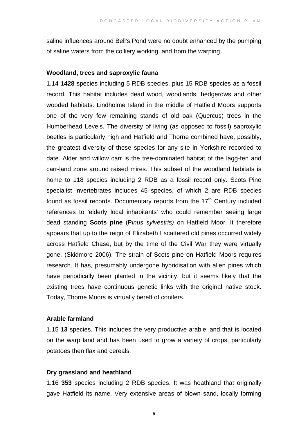saline influences around Bell's Pond were no doubt enhanced by the pumping of saline waters from the colliery working, and from the warping.

#### **Woodland, trees and saproxylic fauna**

1.14 **1428** species including 5 RDB species, plus 15 RDB species as a fossil record. This habitat includes dead wood, woodlands, hedgerows and other wooded habitats. Lindholme Island in the middle of Hatfield Moors supports one of the very few remaining stands of old oak (Quercus) trees in the Humberhead Levels. The diversity of living (as opposed to fossil) saproxylic beetles is particularly high and Hatfield and Thorne combined have, possibly, the greatest diversity of these species for any site in Yorkshire recorded to date. Alder and willow carr is the tree-dominated habitat of the lagg-fen and carr-land zone around raised mires. This subset of the woodland habitats is home to 118 species including 2 RDB as a fossil record only. Scots Pine specialist invertebrates includes 45 species, of which 2 are RDB species found as fossil records. Documentary reports from the  $17<sup>th</sup>$  Century included references to 'elderly local inhabitants' who could remember seeing large dead standing **Scots pine** (P*inus sylvestris)* on Hatfield Moor. It therefore appears that up to the reign of Elizabeth I scattered old pines occurred widely across Hatfield Chase, but by the time of the Civil War they were virtually gone. (Skidmore 2006). The strain of Scots pine on Hatfield Moors requires research. It has, presumably undergone hybridisation with alien pines which have periodically been planted in the vicinity, but it seems likely that the existing trees have continuous genetic links with the original native stock. Today, Thorne Moors is virtually bereft of conifers.

#### **Arable farmland**

1.15 **13** species. This includes the very productive arable land that is located on the warp land and has been used to grow a variety of crops, particularly potatoes then flax and cereals.

#### **Dry grassland and heathland**

1.16 **353** species including 2 RDB species. It was heathland that originally gave Hatfield its name. Very extensive areas of blown sand, locally forming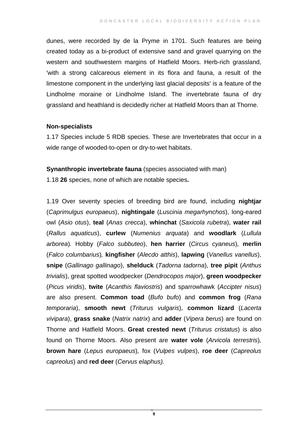dunes, were recorded by de la Pryme in 1701. Such features are being created today as a bi-product of extensive sand and gravel quarrying on the western and southwestern margins of Hatfield Moors. Herb-rich grassland, 'with a strong calcareous element in its flora and fauna, a result of the limestone component in the underlying last glacial deposits' is a feature of the Lindholme moraine or Lindholme Island. The invertebrate fauna of dry grassland and heathland is decidedly richer at Hatfield Moors than at Thorne.

#### **Non-specialists**

1.17 Species include 5 RDB species. These are Invertebrates that occur in a wide range of wooded-to-open or dry-to-wet habitats.

**Synanthropic invertebrate fauna** (species associated with man)

1.18 **26** species, none of which are notable species**.** 

1.19 Over seventy species of breeding bird are found, including **nightjar** (*Caprimulgus europaeus*), **nightingale** (*Luscinia megarhynchos*), long-eared owl (*Asio otus*), **teal** (*Anas crecca*), **whinchat** (*Saxicola rubetra*), **water rail** (*Rallus aquaticus*), **curlew** (*Numenius arquata*) and **woodlark** (*Lullula arborea*)*.* Hobby (*Falco subbuteo*), **hen harrier** (*Circus cyaneus*)*,* **merlin** (*Falco columbarius*)*,* **kingfisher** (*Alecdo atthis*), **lapwing** (*Vanellus vanellus*), **snipe** (*Gallinago gallinago*), **shelduck** (*Tadorna tadorna*), **tree pipit** (*Anthus trivialis*), great spotted woodpecker (*Dendrocopos major*), **green woodpecker** (*Picus viridis*), **twite** (*Acanthis flaviostris*) and sparrowhawk (*Accipter nisus*) are also present. **Common toad** (*Bufo bufo*) and **common frog** (*Rana temporaria*), **smooth newt** (*Triturus vulgaris*), **common lizard** (*Lacerta vivipara*), **grass snake** (*Natrix natrix*) and **adder** (*Vipera berus*) are found on Thorne and Hatfield Moors. **Great crested newt** (*Triturus cristatus*) is also found on Thorne Moors. Also present are **water vole** (*Arvicola terrestris*)*,* **brown hare** (*Lepus europaeus*)*,* fox (*Vulpes vulpes*), **roe deer** (*Capreolus capreolus*) and **red deer** (*Cervus elaphus).*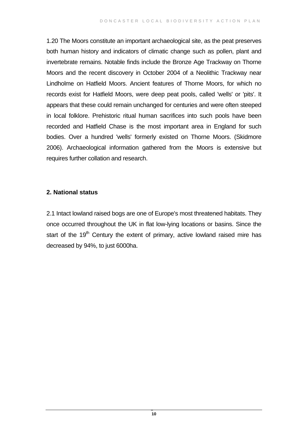1.20 The Moors constitute an important archaeological site, as the peat preserves both human history and indicators of climatic change such as pollen, plant and invertebrate remains. Notable finds include the Bronze Age Trackway on Thorne Moors and the recent discovery in October 2004 of a Neolithic Trackway near Lindholme on Hatfield Moors. Ancient features of Thorne Moors, for which no records exist for Hatfield Moors, were deep peat pools, called 'wells' or 'pits'. It appears that these could remain unchanged for centuries and were often steeped in local folklore. Prehistoric ritual human sacrifices into such pools have been recorded and Hatfield Chase is the most important area in England for such bodies. Over a hundred 'wells' formerly existed on Thorne Moors. (Skidmore 2006). Archaeological information gathered from the Moors is extensive but requires further collation and research.

#### **2. National status**

2.1 Intact lowland raised bogs are one of Europe's most threatened habitats. They once occurred throughout the UK in flat low-lying locations or basins. Since the start of the 19<sup>th</sup> Century the extent of primary, active lowland raised mire has decreased by 94%, to just 6000ha.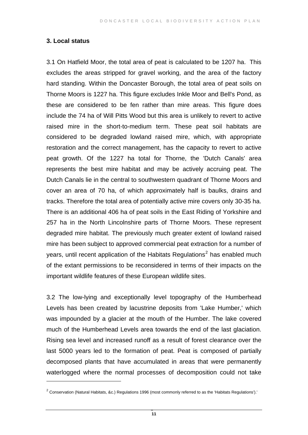#### **3. Local status**

 $\overline{a}$ 

3.1 On Hatfield Moor, the total area of peat is calculated to be 1207 ha. This excludes the areas stripped for gravel working, and the area of the factory hard standing. Within the Doncaster Borough, the total area of peat soils on Thorne Moors is 1227 ha. This figure excludes Inkle Moor and Bell's Pond, as these are considered to be fen rather than mire areas. This figure does include the 74 ha of Will Pitts Wood but this area is unlikely to revert to active raised mire in the short-to-medium term. These peat soil habitats are considered to be degraded lowland raised mire, which, with appropriate restoration and the correct management, has the capacity to revert to active peat growth. Of the 1227 ha total for Thorne, the 'Dutch Canals' area represents the best mire habitat and may be actively accruing peat. The Dutch Canals lie in the central to southwestern quadrant of Thorne Moors and cover an area of 70 ha, of which approximately half is baulks, drains and tracks. Therefore the total area of potentially active mire covers only 30-35 ha. There is an additional 406 ha of peat soils in the East Riding of Yorkshire and 257 ha in the North Lincolnshire parts of Thorne Moors. These represent degraded mire habitat. The previously much greater extent of lowland raised mire has been subject to approved commercial peat extraction for a number of years, until recent application of the Habitats Regulations<sup>[2](#page-12-0)</sup> has enabled much of the extant permissions to be reconsidered in terms of their impacts on the important wildlife features of these European wildlife sites.

3.2 The low-lying and exceptionally level topography of the Humberhead Levels has been created by lacustrine deposits from 'Lake Humber,' which was impounded by a glacier at the mouth of the Humber. The lake covered much of the Humberhead Levels area towards the end of the last glaciation. Rising sea level and increased runoff as a result of forest clearance over the last 5000 years led to the formation of peat. Peat is composed of partially decomposed plants that have accumulated in areas that were permanently waterlogged where the normal processes of decomposition could not take

<span id="page-12-0"></span> $^2$  Conservation (Natural Habitats, &c.) Regulations 1996 (most commonly referred to as the 'Habitats Regulations').'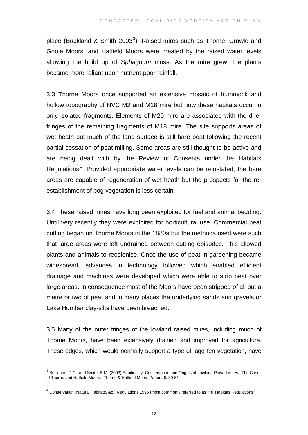place (Buckland & Smith 200[3](#page-13-0)<sup>3</sup>). Raised mires such as Thorne, Crowle and Goole Moors, and Hatfield Moors were created by the raised water levels allowing the build up of S*phagnum* moss. As the mire grew, the plants became more reliant upon nutrient-poor rainfall.

3.3 Thorne Moors once supported an extensive mosaic of hummock and hollow topography of NVC M2 and M18 mire but now these habitats occur in only isolated fragments. Elements of M20 mire are associated with the drier fringes of the remaining fragments of M18 mire. The site supports areas of wet heath but much of the land surface is still bare peat following the recent partial cessation of peat milling. Some areas are still thought to be active and are being dealt with by the Review of Consents under the Habitats Regulations<sup>[4](#page-13-1)</sup>. Provided appropriate water levels can be reinstated, the bare areas are capable of regeneration of wet heath but the prospects for the reestablishment of bog vegetation is less certain.

3.4 These raised mires have long been exploited for fuel and animal bedding. Until very recently they were exploited for horticultural use. Commercial peat cutting began on Thorne Moors in the 1880s but the methods used were such that large areas were left undrained between cutting episodes. This allowed plants and animals to recolonise. Once the use of peat in gardening became widespread, advances in technology followed which enabled efficient drainage and machines were developed which were able to strip peat over large areas. In consequence most of the Moors have been stripped of all but a metre or two of peat and in many places the underlying sands and gravels or Lake Humber clay-silts have been breached.

3.5 Many of the outer fringes of the lowland raised mires, including much of Thorne Moors, have been extensively drained and improved for agriculture. These edges, which would normally support a type of lagg fen vegetation, have

 $\overline{a}$ 

<span id="page-13-0"></span> $^3$  Buckland, P.C. and Smith, B.M. (2003) Equifinality, Conservation and Origins of Lowland Raised mires. The Case of Thorne and Hatfield Moors. Thorne & Hatfield Moors Papers 6: 30-51

<span id="page-13-1"></span> $^4$  Conservation (Natural Habitats, &c.) Regulations 1996 (most commonly referred to as the 'Habitats Regulations').'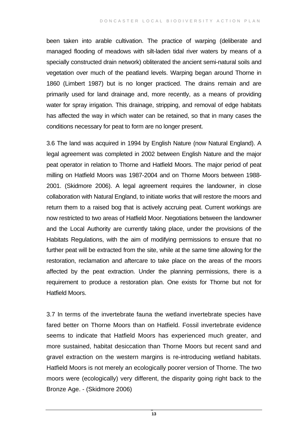been taken into arable cultivation. The practice of warping (deliberate and managed flooding of meadows with silt-laden tidal river waters by means of a specially constructed drain network) obliterated the ancient semi-natural soils and vegetation over much of the peatland levels. Warping began around Thorne in 1860 (Limbert 1987) but is no longer practiced. The drains remain and are primarily used for land drainage and, more recently, as a means of providing water for spray irrigation. This drainage, stripping, and removal of edge habitats has affected the way in which water can be retained, so that in many cases the conditions necessary for peat to form are no longer present.

3.6 The land was acquired in 1994 by English Nature (now Natural England). A legal agreement was completed in 2002 between English Nature and the major peat operator in relation to Thorne and Hatfield Moors. The major period of peat milling on Hatfield Moors was 1987-2004 and on Thorne Moors between 1988- 2001. (Skidmore 2006). A legal agreement requires the landowner, in close collaboration with Natural England, to initiate works that will restore the moors and return them to a raised bog that is actively accruing peat. Current workings are now restricted to two areas of Hatfield Moor. Negotiations between the landowner and the Local Authority are currently taking place, under the provisions of the Habitats Regulations, with the aim of modifying permissions to ensure that no further peat will be extracted from the site, while at the same time allowing for the restoration, reclamation and aftercare to take place on the areas of the moors affected by the peat extraction. Under the planning permissions, there is a requirement to produce a restoration plan. One exists for Thorne but not for Hatfield Moors.

3.7 In terms of the invertebrate fauna the wetland invertebrate species have fared better on Thorne Moors than on Hatfield. Fossil invertebrate evidence seems to indicate that Hatfield Moors has experienced much greater, and more sustained, habitat desiccation than Thorne Moors but recent sand and gravel extraction on the western margins is re-introducing wetland habitats. Hatfield Moors is not merely an ecologically poorer version of Thorne. The two moors were (ecologically) very different, the disparity going right back to the Bronze Age. - (Skidmore 2006)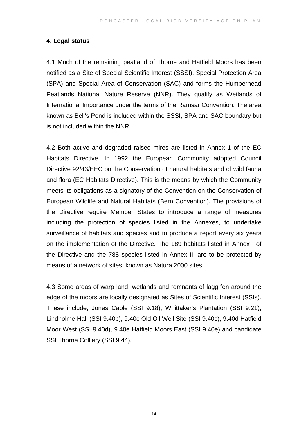#### **4. Legal status**

4.1 Much of the remaining peatland of Thorne and Hatfield Moors has been notified as a Site of Special Scientific Interest (SSSI), Special Protection Area (SPA) and Special Area of Conservation (SAC) and forms the Humberhead Peatlands National Nature Reserve (NNR). They qualify as Wetlands of International Importance under the terms of the Ramsar Convention. The area known as Bell's Pond is included within the SSSI, SPA and SAC boundary but is not included within the NNR

4.2 Both active and degraded raised mires are listed in Annex 1 of the EC Habitats Directive. In 1992 the European Community adopted Council Directive 92/43/EEC on the Conservation of natural habitats and of wild fauna and flora (EC Habitats Directive). This is the means by which the Community meets its obligations as a signatory of the Convention on the Conservation of European Wildlife and Natural Habitats (Bern Convention). The provisions of the Directive require Member States to introduce a range of measures including the protection of species listed in the Annexes, to undertake surveillance of habitats and species and to produce a report every six years on the implementation of the Directive. The 189 habitats listed in Annex I of the Directive and the 788 species listed in Annex II, are to be protected by means of a network of sites, known as Natura 2000 sites.

4.3 Some areas of warp land, wetlands and remnants of lagg fen around the edge of the moors are locally designated as Sites of Scientific Interest (SSIs). These include; Jones Cable (SSI 9.18), Whittaker's Plantation (SSI 9.21), Lindholme Hall (SSI 9.40b), 9.40c Old Oil Well Site (SSI 9.40c), 9.40d Hatfield Moor West (SSI 9.40d), 9.40e Hatfield Moors East (SSI 9.40e) and candidate SSI Thorne Colliery (SSI 9.44).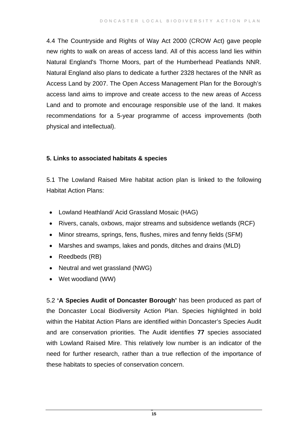4.4 The Countryside and Rights of Way Act 2000 (CROW Act) gave people new rights to walk on areas of access land. All of this access land lies within Natural England's Thorne Moors, part of the Humberhead Peatlands NNR. Natural England also plans to dedicate a further 2328 hectares of the NNR as Access Land by 2007. The Open Access Management Plan for the Borough's access land aims to improve and create access to the new areas of Access Land and to promote and encourage responsible use of the land. It makes recommendations for a 5-year programme of access improvements (both physical and intellectual).

#### **5. Links to associated habitats & species**

5.1 The Lowland Raised Mire habitat action plan is linked to the following Habitat Action Plans:

- Lowland Heathland/ Acid Grassland Mosaic (HAG)
- Rivers, canals, oxbows, major streams and subsidence wetlands (RCF)
- Minor streams, springs, fens, flushes, mires and fenny fields (SFM)
- Marshes and swamps, lakes and ponds, ditches and drains (MLD)
- Reedbeds (RB)
- Neutral and wet grassland (NWG)
- Wet woodland (WW)

5.2 **'A Species Audit of Doncaster Borough'** has been produced as part of the Doncaster Local Biodiversity Action Plan. Species highlighted in bold within the Habitat Action Plans are identified within Doncaster's Species Audit and are conservation priorities. The Audit identifies **77** species associated with Lowland Raised Mire. This relatively low number is an indicator of the need for further research, rather than a true reflection of the importance of these habitats to species of conservation concern.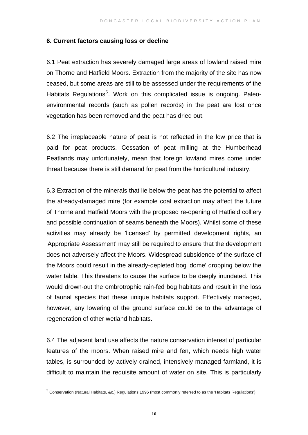#### **6. Current factors causing loss or decline**

6.1 Peat extraction has severely damaged large areas of lowland raised mire on Thorne and Hatfield Moors. Extraction from the majority of the site has now ceased, but some areas are still to be assessed under the requirements of the Habitats Regulations<sup>[5](#page-17-0)</sup>. Work on this complicated issue is ongoing. Paleoenvironmental records (such as pollen records) in the peat are lost once vegetation has been removed and the peat has dried out.

6.2 The irreplaceable nature of peat is not reflected in the low price that is paid for peat products. Cessation of peat milling at the Humberhead Peatlands may unfortunately, mean that foreign lowland mires come under threat because there is still demand for peat from the horticultural industry.

6.3 Extraction of the minerals that lie below the peat has the potential to affect the already-damaged mire (for example coal extraction may affect the future of Thorne and Hatfield Moors with the proposed re-opening of Hatfield colliery and possible continuation of seams beneath the Moors). Whilst some of these activities may already be 'licensed' by permitted development rights, an 'Appropriate Assessment' may still be required to ensure that the development does not adversely affect the Moors. Widespread subsidence of the surface of the Moors could result in the already-depleted bog 'dome' dropping below the water table. This threatens to cause the surface to be deeply inundated. This would drown-out the ombrotrophic rain-fed bog habitats and result in the loss of faunal species that these unique habitats support. Effectively managed, however, any lowering of the ground surface could be to the advantage of regeneration of other wetland habitats.

6.4 The adjacent land use affects the nature conservation interest of particular features of the moors. When raised mire and fen, which needs high water tables, is surrounded by actively drained, intensively managed farmland, it is difficult to maintain the requisite amount of water on site. This is particularly

 $\overline{a}$ 

<span id="page-17-0"></span><sup>&</sup>lt;sup>5</sup> Conservation (Natural Habitats, &c.) Regulations 1996 (most commonly referred to as the 'Habitats Regulations').'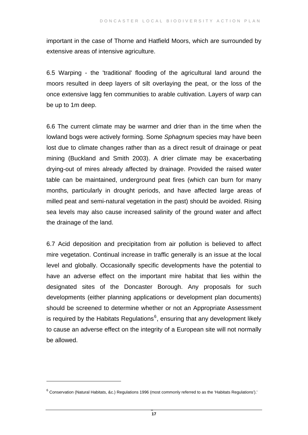important in the case of Thorne and Hatfield Moors, which are surrounded by extensive areas of intensive agriculture.

6.5 Warping - the 'traditional' flooding of the agricultural land around the moors resulted in deep layers of silt overlaying the peat, or the loss of the once extensive lagg fen communities to arable cultivation. Layers of warp can be up to 1m deep.

6.6 The current climate may be warmer and drier than in the time when the lowland bogs were actively forming. Some *Sphagnum* species may have been lost due to climate changes rather than as a direct result of drainage or peat mining (Buckland and Smith 2003). A drier climate may be exacerbating drying-out of mires already affected by drainage. Provided the raised water table can be maintained, underground peat fires (which can burn for many months, particularly in drought periods, and have affected large areas of milled peat and semi-natural vegetation in the past) should be avoided. Rising sea levels may also cause increased salinity of the ground water and affect the drainage of the land.

6.7 Acid deposition and precipitation from air pollution is believed to affect mire vegetation. Continual increase in traffic generally is an issue at the local level and globally. Occasionally specific developments have the potential to have an adverse effect on the important mire habitat that lies within the designated sites of the Doncaster Borough. Any proposals for such developments (either planning applications or development plan documents) should be screened to determine whether or not an Appropriate Assessment is required by the Habitats Regulations $6$ , ensuring that any development likely to cause an adverse effect on the integrity of a European site will not normally be allowed.

 $\overline{a}$ 

<span id="page-18-0"></span> $^6$  Conservation (Natural Habitats, &c.) Regulations 1996 (most commonly referred to as the 'Habitats Regulations').'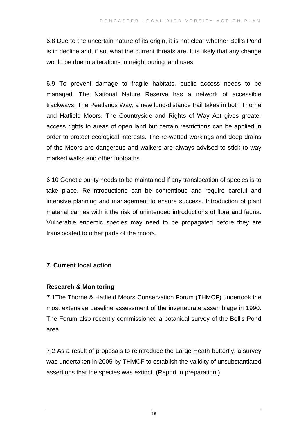6.8 Due to the uncertain nature of its origin, it is not clear whether Bell's Pond is in decline and, if so, what the current threats are. It is likely that any change would be due to alterations in neighbouring land uses.

6.9 To prevent damage to fragile habitats, public access needs to be managed. The National Nature Reserve has a network of accessible trackways. The Peatlands Way, a new long-distance trail takes in both Thorne and Hatfield Moors. The Countryside and Rights of Way Act gives greater access rights to areas of open land but certain restrictions can be applied in order to protect ecological interests. The re-wetted workings and deep drains of the Moors are dangerous and walkers are always advised to stick to way marked walks and other footpaths.

6.10 Genetic purity needs to be maintained if any translocation of species is to take place. Re-introductions can be contentious and require careful and intensive planning and management to ensure success. Introduction of plant material carries with it the risk of unintended introductions of flora and fauna. Vulnerable endemic species may need to be propagated before they are translocated to other parts of the moors.

#### **7. Current local action**

#### **Research & Monitoring**

7.1The Thorne & Hatfield Moors Conservation Forum (THMCF) undertook the most extensive baseline assessment of the invertebrate assemblage in 1990. The Forum also recently commissioned a botanical survey of the Bell's Pond area.

7.2 As a result of proposals to reintroduce the Large Heath butterfly, a survey was undertaken in 2005 by THMCF to establish the validity of unsubstantiated assertions that the species was extinct. (Report in preparation.)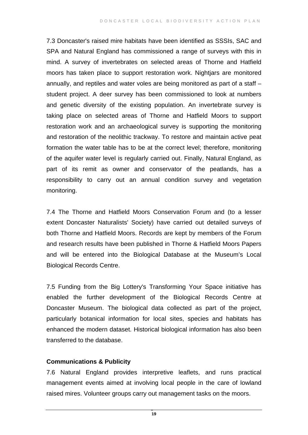7.3 Doncaster's raised mire habitats have been identified as SSSIs, SAC and SPA and Natural England has commissioned a range of surveys with this in mind. A survey of invertebrates on selected areas of Thorne and Hatfield moors has taken place to support restoration work. Nightjars are monitored annually, and reptiles and water voles are being monitored as part of a staff – student project. A deer survey has been commissioned to look at numbers and genetic diversity of the existing population. An invertebrate survey is taking place on selected areas of Thorne and Hatfield Moors to support restoration work and an archaeological survey is supporting the monitoring and restoration of the neolithic trackway. To restore and maintain active peat formation the water table has to be at the correct level; therefore, monitoring of the aquifer water level is regularly carried out. Finally, Natural England, as part of its remit as owner and conservator of the peatlands, has a responsibility to carry out an annual condition survey and vegetation monitoring.

7.4 The Thorne and Hatfield Moors Conservation Forum and (to a lesser extent Doncaster Naturalists' Society) have carried out detailed surveys of both Thorne and Hatfield Moors. Records are kept by members of the Forum and research results have been published in Thorne & Hatfield Moors Papers and will be entered into the Biological Database at the Museum's Local Biological Records Centre.

7.5 Funding from the Big Lottery's Transforming Your Space initiative has enabled the further development of the Biological Records Centre at Doncaster Museum. The biological data collected as part of the project, particularly botanical information for local sites, species and habitats has enhanced the modern dataset. Historical biological information has also been transferred to the database.

#### **Communications & Publicity**

7.6 Natural England provides interpretive leaflets, and runs practical management events aimed at involving local people in the care of lowland raised mires. Volunteer groups carry out management tasks on the moors.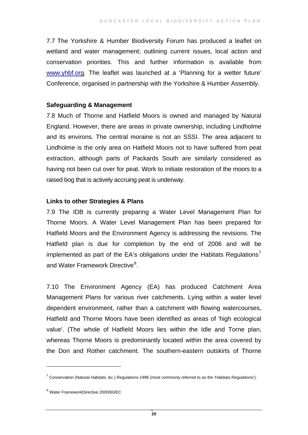7.7 The Yorkshire & Humber Biodiversity Forum has produced a leaflet on wetland and water management; outlining current issues, local action and conservation priorities. This and further information is available from [www.yhbf.org.](http://www.yhbf.org/) The leaflet was launched at a 'Planning for a wetter future' Conference, organised in partnership with the Yorkshire & Humber Assembly.

#### **Safeguarding & Management**

7.8 Much of Thorne and Hatfield Moors is owned and managed by Natural England. However, there are areas in private ownership, including Lindholme and its environs. The central moraine is not an SSSI. The area adjacent to Lindholme is the only area on Hatfield Moors not to have suffered from peat extraction, although parts of Packards South are similarly considered as having not been cut over for peat. Work to initiate restoration of the moors to a raised bog that is actively accruing peat is underway.

#### **Links to other Strategies & Plans**

7.9 The IDB is currently preparing a Water Level Management Plan for Thorne Moors. A Water Level Management Plan has been prepared for Hatfield Moors and the Environment Agency is addressing the revisions. The Hatfield plan is due for completion by the end of 2006 and will be implemented as part of the EA's obligations under the Habitats Regulations<sup>[7](#page-21-0)</sup> and Water Framework Directive<sup>[8](#page-21-1)</sup>.

7.10 The Environment Agency (EA) has produced Catchment Area Management Plans for various river catchments. Lying within a water level dependent environment, rather than a catchment with flowing watercourses, Hatfield and Thorne Moors have been identified as areas of 'high ecological value'. (The whole of Hatfield Moors lies within the Idle and Torne plan, whereas Thorne Moors is predominantly located within the area covered by the Don and Rother catchment. The southern-eastern outskirts of Thorne

 $\overline{a}$ 

<sup>&</sup>lt;sup>7</sup> Conservation (Natural Habitats, &c.) Regulations 1996 (most commonly referred to as the 'Habitats Regulations').

<span id="page-21-1"></span><span id="page-21-0"></span><sup>8</sup> Water FrameworkDirective 2000/60/EC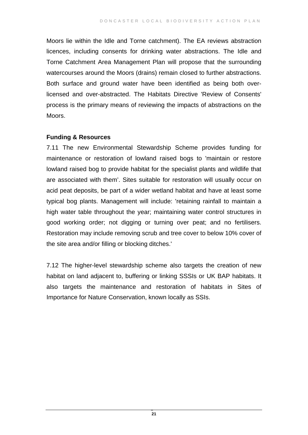Moors lie within the Idle and Torne catchment). The EA reviews abstraction licences, including consents for drinking water abstractions. The Idle and Torne Catchment Area Management Plan will propose that the surrounding watercourses around the Moors (drains) remain closed to further abstractions. Both surface and ground water have been identified as being both overlicensed and over-abstracted. The Habitats Directive 'Review of Consents' process is the primary means of reviewing the impacts of abstractions on the Moors.

#### **Funding & Resources**

7.11 The new Environmental Stewardship Scheme provides funding for maintenance or restoration of lowland raised bogs to 'maintain or restore lowland raised bog to provide habitat for the specialist plants and wildlife that are associated with them'. Sites suitable for restoration will usually occur on acid peat deposits, be part of a wider wetland habitat and have at least some typical bog plants. Management will include: 'retaining rainfall to maintain a high water table throughout the year; maintaining water control structures in good working order; not digging or turning over peat; and no fertilisers. Restoration may include removing scrub and tree cover to below 10% cover of the site area and/or filling or blocking ditches.'

7.12 The higher-level stewardship scheme also targets the creation of new habitat on land adjacent to, buffering or linking SSSIs or UK BAP habitats. It also targets the maintenance and restoration of habitats in Sites of Importance for Nature Conservation, known locally as SSIs.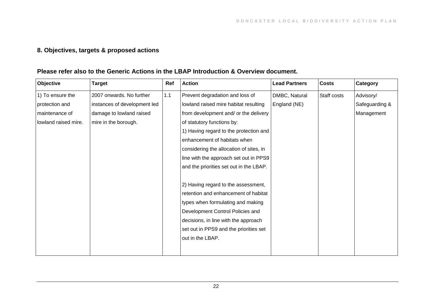### **8. Objectives, targets & proposed actions**

#### **Please refer also to the Generic Actions in the LBAP Introduction & Overview document.**

| Objective            | <b>Target</b>                | Ref | <b>Action</b>                           | <b>Lead Partners</b> | <b>Costs</b> | Category       |
|----------------------|------------------------------|-----|-----------------------------------------|----------------------|--------------|----------------|
| 1) To ensure the     | 2007 onwards. No further     | 1.1 | Prevent degradation and loss of         | DMBC, Natural        | Staff costs  | Advisory/      |
| protection and       | instances of development led |     | lowland raised mire habitat resulting   | England (NE)         |              | Safeguarding & |
| maintenance of       | damage to lowland raised     |     | from development and/ or the delivery   |                      |              | Management     |
| lowland raised mire. | mire in the borough.         |     | of statutory functions by:              |                      |              |                |
|                      |                              |     | 1) Having regard to the protection and  |                      |              |                |
|                      |                              |     | enhancement of habitats when            |                      |              |                |
|                      |                              |     | considering the allocation of sites, in |                      |              |                |
|                      |                              |     | line with the approach set out in PPS9  |                      |              |                |
|                      |                              |     | and the priorities set out in the LBAP. |                      |              |                |
|                      |                              |     |                                         |                      |              |                |
|                      |                              |     | 2) Having regard to the assessment,     |                      |              |                |
|                      |                              |     | retention and enhancement of habitat    |                      |              |                |
|                      |                              |     | types when formulating and making       |                      |              |                |
|                      |                              |     | Development Control Policies and        |                      |              |                |
|                      |                              |     | decisions, in line with the approach    |                      |              |                |
|                      |                              |     | set out in PPS9 and the priorities set  |                      |              |                |
|                      |                              |     | out in the LBAP.                        |                      |              |                |
|                      |                              |     |                                         |                      |              |                |
|                      |                              |     |                                         |                      |              |                |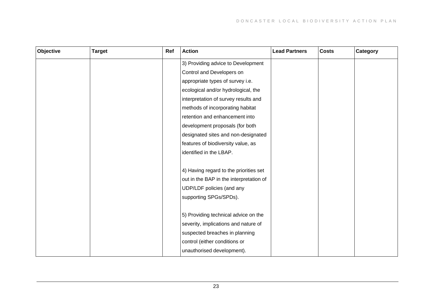| Objective | <b>Target</b> | Ref | <b>Action</b>                           | <b>Lead Partners</b> | <b>Costs</b> | Category |
|-----------|---------------|-----|-----------------------------------------|----------------------|--------------|----------|
|           |               |     | 3) Providing advice to Development      |                      |              |          |
|           |               |     | Control and Developers on               |                      |              |          |
|           |               |     | appropriate types of survey i.e.        |                      |              |          |
|           |               |     | ecological and/or hydrological, the     |                      |              |          |
|           |               |     | interpretation of survey results and    |                      |              |          |
|           |               |     | methods of incorporating habitat        |                      |              |          |
|           |               |     | retention and enhancement into          |                      |              |          |
|           |               |     | development proposals (for both         |                      |              |          |
|           |               |     | designated sites and non-designated     |                      |              |          |
|           |               |     | features of biodiversity value, as      |                      |              |          |
|           |               |     | identified in the LBAP.                 |                      |              |          |
|           |               |     |                                         |                      |              |          |
|           |               |     | 4) Having regard to the priorities set  |                      |              |          |
|           |               |     | out in the BAP in the interpretation of |                      |              |          |
|           |               |     | UDP/LDF policies (and any               |                      |              |          |
|           |               |     | supporting SPGs/SPDs).                  |                      |              |          |
|           |               |     |                                         |                      |              |          |
|           |               |     | 5) Providing technical advice on the    |                      |              |          |
|           |               |     | severity, implications and nature of    |                      |              |          |
|           |               |     | suspected breaches in planning          |                      |              |          |
|           |               |     | control (either conditions or           |                      |              |          |
|           |               |     | unauthorised development).              |                      |              |          |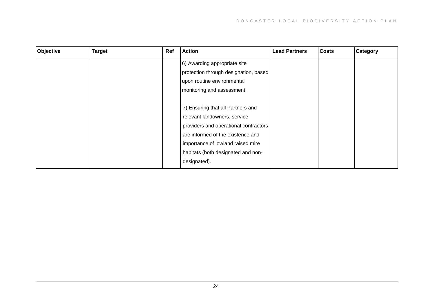| Objective | <b>Target</b> | Ref | <b>Action</b>                         | <b>Lead Partners</b> | <b>Costs</b> | Category |
|-----------|---------------|-----|---------------------------------------|----------------------|--------------|----------|
|           |               |     | 6) Awarding appropriate site          |                      |              |          |
|           |               |     | protection through designation, based |                      |              |          |
|           |               |     | upon routine environmental            |                      |              |          |
|           |               |     | monitoring and assessment.            |                      |              |          |
|           |               |     |                                       |                      |              |          |
|           |               |     | 7) Ensuring that all Partners and     |                      |              |          |
|           |               |     | relevant landowners, service          |                      |              |          |
|           |               |     | providers and operational contractors |                      |              |          |
|           |               |     | are informed of the existence and     |                      |              |          |
|           |               |     | importance of lowland raised mire     |                      |              |          |
|           |               |     | habitats (both designated and non-    |                      |              |          |
|           |               |     | designated).                          |                      |              |          |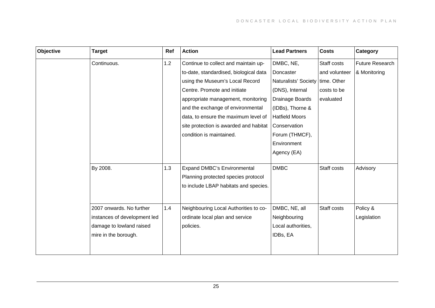| Objective | <b>Target</b>                | Ref | <b>Action</b>                          | <b>Lead Partners</b>               | <b>Costs</b>  | Category        |
|-----------|------------------------------|-----|----------------------------------------|------------------------------------|---------------|-----------------|
|           | Continuous.                  | 1.2 | Continue to collect and maintain up-   | DMBC, NE,                          | Staff costs   | Future Research |
|           |                              |     | to-date, standardised, biological data | Doncaster                          | and volunteer | & Monitoring    |
|           |                              |     | using the Museum's Local Record        | Naturalists' Society   time. Other |               |                 |
|           |                              |     | Centre. Promote and initiate           | (DNS), Internal                    | costs to be   |                 |
|           |                              |     | appropriate management, monitoring     | Drainage Boards                    | evaluated     |                 |
|           |                              |     | and the exchange of environmental      | (IDBs), Thorne &                   |               |                 |
|           |                              |     | data, to ensure the maximum level of   | <b>Hatfield Moors</b>              |               |                 |
|           |                              |     | site protection is awarded and habitat | Conservation                       |               |                 |
|           |                              |     | condition is maintained.               | Forum (THMCF),                     |               |                 |
|           |                              |     |                                        | Environment                        |               |                 |
|           |                              |     |                                        | Agency (EA)                        |               |                 |
|           |                              |     |                                        |                                    |               |                 |
|           | By 2008.                     | 1.3 | <b>Expand DMBC's Environmental</b>     | <b>DMBC</b>                        | Staff costs   | Advisory        |
|           |                              |     | Planning protected species protocol    |                                    |               |                 |
|           |                              |     | to include LBAP habitats and species.  |                                    |               |                 |
|           |                              |     |                                        |                                    |               |                 |
|           | 2007 onwards. No further     | 1.4 | Neighbouring Local Authorities to co-  | DMBC, NE, all                      | Staff costs   | Policy &        |
|           | instances of development led |     | ordinate local plan and service        | Neighbouring                       |               | Legislation     |
|           | damage to lowland raised     |     | policies.                              | Local authorities,                 |               |                 |
|           | mire in the borough.         |     |                                        | IDBs, EA                           |               |                 |
|           |                              |     |                                        |                                    |               |                 |
|           |                              |     |                                        |                                    |               |                 |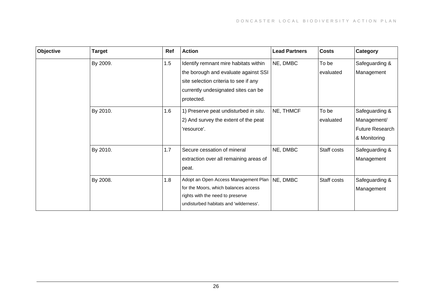| Objective | <b>Target</b> | Ref | <b>Action</b>                                                                                                                                                               | <b>Lead Partners</b> | <b>Costs</b>       | Category                                                         |
|-----------|---------------|-----|-----------------------------------------------------------------------------------------------------------------------------------------------------------------------------|----------------------|--------------------|------------------------------------------------------------------|
|           | By 2009.      | 1.5 | Identify remnant mire habitats within<br>the borough and evaluate against SSI<br>site selection criteria to see if any<br>currently undesignated sites can be<br>protected. | NE, DMBC             | To be<br>evaluated | Safeguarding &<br>Management                                     |
|           | By 2010.      | 1.6 | 1) Preserve peat undisturbed in situ.<br>2) And survey the extent of the peat<br>'resource'.                                                                                | NE, THMCF            | To be<br>evaluated | Safeguarding &<br>Management/<br>Future Research<br>& Monitoring |
|           | By 2010.      | 1.7 | Secure cessation of mineral<br>extraction over all remaining areas of<br>peat.                                                                                              | NE, DMBC             | Staff costs        | Safeguarding &<br>Management                                     |
|           | By 2008.      | 1.8 | Adopt an Open Access Management Plan<br>for the Moors, which balances access<br>rights with the need to preserve<br>undisturbed habitats and 'wilderness'.                  | NE, DMBC             | Staff costs        | Safeguarding &<br>Management                                     |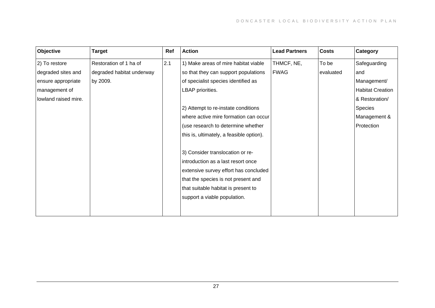| Objective            | <b>Target</b>             | Ref | <b>Action</b>                            | <b>Lead Partners</b> | <b>Costs</b> | Category                |
|----------------------|---------------------------|-----|------------------------------------------|----------------------|--------------|-------------------------|
| 2) To restore        | Restoration of 1 ha of    | 2.1 | 1) Make areas of mire habitat viable     | THMCF, NE,           | To be        | Safeguarding            |
| degraded sites and   | degraded habitat underway |     | so that they can support populations     | <b>FWAG</b>          | evaluated    | and                     |
| ensure appropriate   | by 2009.                  |     | of specialist species identified as      |                      |              | Management/             |
| management of        |                           |     | LBAP priorities.                         |                      |              | <b>Habitat Creation</b> |
| lowland raised mire. |                           |     |                                          |                      |              | & Restoration/          |
|                      |                           |     | 2) Attempt to re-instate conditions      |                      |              | Species                 |
|                      |                           |     | where active mire formation can occur    |                      |              | Management &            |
|                      |                           |     | (use research to determine whether       |                      |              | Protection              |
|                      |                           |     | this is, ultimately, a feasible option). |                      |              |                         |
|                      |                           |     |                                          |                      |              |                         |
|                      |                           |     | 3) Consider translocation or re-         |                      |              |                         |
|                      |                           |     | introduction as a last resort once       |                      |              |                         |
|                      |                           |     | extensive survey effort has concluded    |                      |              |                         |
|                      |                           |     | that the species is not present and      |                      |              |                         |
|                      |                           |     | that suitable habitat is present to      |                      |              |                         |
|                      |                           |     | support a viable population.             |                      |              |                         |
|                      |                           |     |                                          |                      |              |                         |
|                      |                           |     |                                          |                      |              |                         |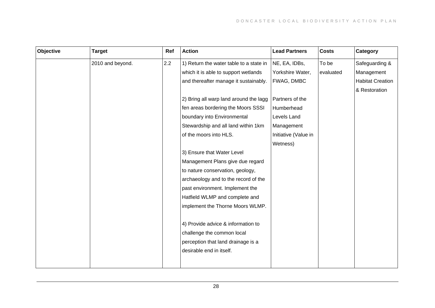| Objective | <b>Target</b>    | Ref | <b>Action</b>                           | <b>Lead Partners</b> | <b>Costs</b> | Category                |
|-----------|------------------|-----|-----------------------------------------|----------------------|--------------|-------------------------|
|           | 2010 and beyond. | 2.2 | 1) Return the water table to a state in | NE, EA, IDBs,        | To be        | Safeguarding &          |
|           |                  |     | which it is able to support wetlands    | Yorkshire Water,     | evaluated    | Management              |
|           |                  |     | and thereafter manage it sustainably.   | FWAG, DMBC           |              | <b>Habitat Creation</b> |
|           |                  |     |                                         |                      |              | & Restoration           |
|           |                  |     | 2) Bring all warp land around the lagg  | Partners of the      |              |                         |
|           |                  |     | fen areas bordering the Moors SSSI      | Humberhead           |              |                         |
|           |                  |     | boundary into Environmental             | Levels Land          |              |                         |
|           |                  |     | Stewardship and all land within 1km     | Management           |              |                         |
|           |                  |     | of the moors into HLS.                  | Initiative (Value in |              |                         |
|           |                  |     |                                         | Wetness)             |              |                         |
|           |                  |     | 3) Ensure that Water Level              |                      |              |                         |
|           |                  |     | Management Plans give due regard        |                      |              |                         |
|           |                  |     | to nature conservation, geology,        |                      |              |                         |
|           |                  |     | archaeology and to the record of the    |                      |              |                         |
|           |                  |     | past environment. Implement the         |                      |              |                         |
|           |                  |     | Hatfield WLMP and complete and          |                      |              |                         |
|           |                  |     | implement the Thorne Moors WLMP.        |                      |              |                         |
|           |                  |     |                                         |                      |              |                         |
|           |                  |     | 4) Provide advice & information to      |                      |              |                         |
|           |                  |     | challenge the common local              |                      |              |                         |
|           |                  |     | perception that land drainage is a      |                      |              |                         |
|           |                  |     | desirable end in itself.                |                      |              |                         |
|           |                  |     |                                         |                      |              |                         |
|           |                  |     |                                         |                      |              |                         |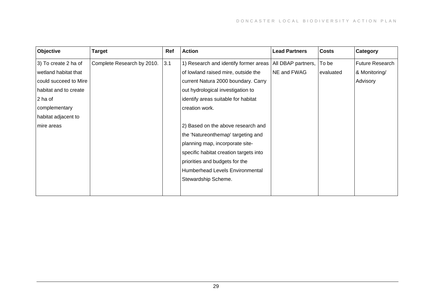| Objective             | <b>Target</b>              | Ref | <b>Action</b>                          | <b>Lead Partners</b> | <b>Costs</b> | Category        |
|-----------------------|----------------------------|-----|----------------------------------------|----------------------|--------------|-----------------|
| 3) To create 2 ha of  | Complete Research by 2010. | 3.1 | 1) Research and identify former areas  | All DBAP partners,   | To be        | Future Research |
| wetland habitat that  |                            |     | of lowland raised mire, outside the    | NE and FWAG          | evaluated    | & Monitoring/   |
| could succeed to Mire |                            |     | current Natura 2000 boundary. Carry    |                      |              | Advisory        |
| habitat and to create |                            |     | out hydrological investigation to      |                      |              |                 |
| 2 ha of               |                            |     | identify areas suitable for habitat    |                      |              |                 |
| complementary         |                            |     | creation work.                         |                      |              |                 |
| habitat adjacent to   |                            |     |                                        |                      |              |                 |
| mire areas            |                            |     | 2) Based on the above research and     |                      |              |                 |
|                       |                            |     | the 'Natureonthemap' targeting and     |                      |              |                 |
|                       |                            |     | planning map, incorporate site-        |                      |              |                 |
|                       |                            |     | specific habitat creation targets into |                      |              |                 |
|                       |                            |     | priorities and budgets for the         |                      |              |                 |
|                       |                            |     | Humberhead Levels Environmental        |                      |              |                 |
|                       |                            |     | Stewardship Scheme.                    |                      |              |                 |
|                       |                            |     |                                        |                      |              |                 |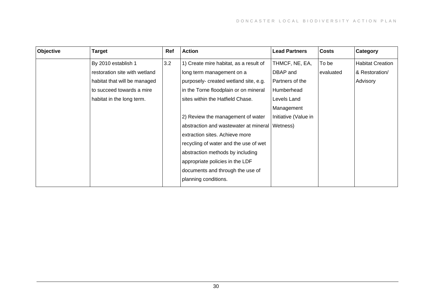| Objective | <b>Target</b>                 | Ref | <b>Action</b>                          | <b>Lead Partners</b> | <b>Costs</b> | Category                |
|-----------|-------------------------------|-----|----------------------------------------|----------------------|--------------|-------------------------|
|           | By 2010 establish 1           | 3.2 | 1) Create mire habitat, as a result of | THMCF, NE, EA,       | To be        | <b>Habitat Creation</b> |
|           | restoration site with wetland |     | long term management on a              | DBAP and             | evaluated    | & Restoration/          |
|           | habitat that will be managed  |     | purposely- created wetland site, e.g.  | Partners of the      |              | Advisory                |
|           | to succeed towards a mire     |     | in the Torne floodplain or on mineral  | Humberhead           |              |                         |
|           | habitat in the long term.     |     | sites within the Hatfield Chase.       | Levels Land          |              |                         |
|           |                               |     |                                        | Management           |              |                         |
|           |                               |     | 2) Review the management of water      | Initiative (Value in |              |                         |
|           |                               |     | abstraction and wastewater at mineral  | Wetness)             |              |                         |
|           |                               |     | extraction sites. Achieve more         |                      |              |                         |
|           |                               |     | recycling of water and the use of wet  |                      |              |                         |
|           |                               |     | abstraction methods by including       |                      |              |                         |
|           |                               |     | appropriate policies in the LDF        |                      |              |                         |
|           |                               |     | documents and through the use of       |                      |              |                         |
|           |                               |     | planning conditions.                   |                      |              |                         |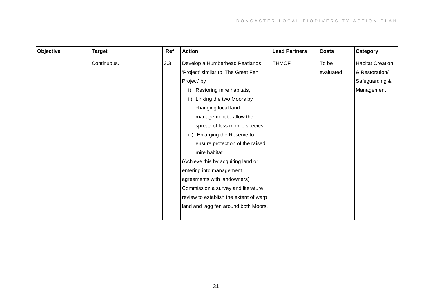| Objective | <b>Target</b> | Ref | <b>Action</b>                          | <b>Lead Partners</b> | <b>Costs</b> | Category                |
|-----------|---------------|-----|----------------------------------------|----------------------|--------------|-------------------------|
|           | Continuous.   | 3.3 | Develop a Humberhead Peatlands         | <b>THMCF</b>         | To be        | <b>Habitat Creation</b> |
|           |               |     | Project' similar to 'The Great Fen     |                      | evaluated    | & Restoration/          |
|           |               |     | Project' by                            |                      |              | Safeguarding &          |
|           |               |     | Restoring mire habitats,               |                      |              | Management              |
|           |               |     | ii) Linking the two Moors by           |                      |              |                         |
|           |               |     | changing local land                    |                      |              |                         |
|           |               |     | management to allow the                |                      |              |                         |
|           |               |     | spread of less mobile species          |                      |              |                         |
|           |               |     | Enlarging the Reserve to<br>iii)       |                      |              |                         |
|           |               |     | ensure protection of the raised        |                      |              |                         |
|           |               |     | mire habitat.                          |                      |              |                         |
|           |               |     | (Achieve this by acquiring land or     |                      |              |                         |
|           |               |     | entering into management               |                      |              |                         |
|           |               |     | agreements with landowners)            |                      |              |                         |
|           |               |     | Commission a survey and literature     |                      |              |                         |
|           |               |     | review to establish the extent of warp |                      |              |                         |
|           |               |     | land and lagg fen around both Moors.   |                      |              |                         |
|           |               |     |                                        |                      |              |                         |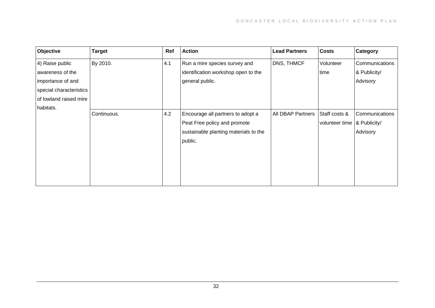| Objective               | <b>Target</b> | Ref | <b>Action</b>                         | <b>Lead Partners</b>     | <b>Costs</b>                  | Category       |
|-------------------------|---------------|-----|---------------------------------------|--------------------------|-------------------------------|----------------|
| 4) Raise public         | By 2010.      | 4.1 | Run a mire species survey and         | DNS, THMCF               | Volunteer                     | Communications |
| awareness of the        |               |     | identification workshop open to the   |                          | time                          | & Publicity/   |
| importance of and       |               |     | general public.                       |                          |                               | Advisory       |
| special characteristics |               |     |                                       |                          |                               |                |
| of lowland raised mire  |               |     |                                       |                          |                               |                |
| habitats.               |               |     |                                       |                          |                               |                |
|                         | Continuous.   | 4.2 | Encourage all partners to adopt a     | <b>All DBAP Partners</b> | Staff costs &                 | Communications |
|                         |               |     | Peat Free policy and promote          |                          | volunteer time   & Publicity/ |                |
|                         |               |     | sustainable planting materials to the |                          |                               | Advisory       |
|                         |               |     | public.                               |                          |                               |                |
|                         |               |     |                                       |                          |                               |                |
|                         |               |     |                                       |                          |                               |                |
|                         |               |     |                                       |                          |                               |                |
|                         |               |     |                                       |                          |                               |                |
|                         |               |     |                                       |                          |                               |                |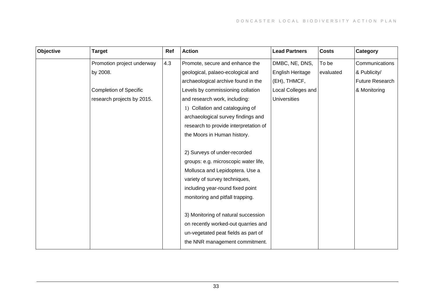| Objective | <b>Target</b>                 | Ref | <b>Action</b>                         | <b>Lead Partners</b>    | <b>Costs</b> | Category        |
|-----------|-------------------------------|-----|---------------------------------------|-------------------------|--------------|-----------------|
|           | Promotion project underway    | 4.3 | Promote, secure and enhance the       | DMBC, NE, DNS,          | To be        | Communications  |
|           | by 2008.                      |     | geological, palaeo-ecological and     | <b>English Heritage</b> | evaluated    | & Publicity/    |
|           |                               |     | archaeological archive found in the   | (EH), THMCF,            |              | Future Research |
|           | <b>Completion of Specific</b> |     | Levels by commissioning collation     | Local Colleges and      |              | & Monitoring    |
|           | research projects by 2015.    |     | and research work, including:         | <b>Universities</b>     |              |                 |
|           |                               |     | 1) Collation and cataloguing of       |                         |              |                 |
|           |                               |     | archaeological survey findings and    |                         |              |                 |
|           |                               |     | research to provide interpretation of |                         |              |                 |
|           |                               |     | the Moors in Human history.           |                         |              |                 |
|           |                               |     |                                       |                         |              |                 |
|           |                               |     | 2) Surveys of under-recorded          |                         |              |                 |
|           |                               |     | groups: e.g. microscopic water life,  |                         |              |                 |
|           |                               |     | Mollusca and Lepidoptera. Use a       |                         |              |                 |
|           |                               |     | variety of survey techniques,         |                         |              |                 |
|           |                               |     | including year-round fixed point      |                         |              |                 |
|           |                               |     | monitoring and pitfall trapping.      |                         |              |                 |
|           |                               |     |                                       |                         |              |                 |
|           |                               |     | 3) Monitoring of natural succession   |                         |              |                 |
|           |                               |     | on recently worked-out quarries and   |                         |              |                 |
|           |                               |     | un-vegetated peat fields as part of   |                         |              |                 |
|           |                               |     | the NNR management commitment.        |                         |              |                 |
|           |                               |     |                                       |                         |              |                 |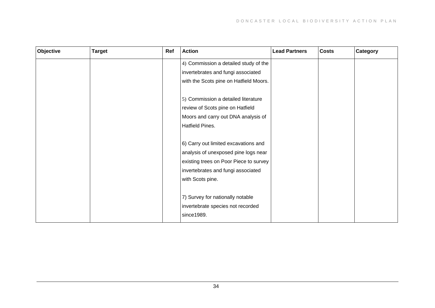| Objective | <b>Target</b> | Ref | <b>Action</b>                          | <b>Lead Partners</b> | <b>Costs</b> | Category |
|-----------|---------------|-----|----------------------------------------|----------------------|--------------|----------|
|           |               |     | 4) Commission a detailed study of the  |                      |              |          |
|           |               |     | invertebrates and fungi associated     |                      |              |          |
|           |               |     | with the Scots pine on Hatfield Moors. |                      |              |          |
|           |               |     |                                        |                      |              |          |
|           |               |     | 5) Commission a detailed literature    |                      |              |          |
|           |               |     | review of Scots pine on Hatfield       |                      |              |          |
|           |               |     | Moors and carry out DNA analysis of    |                      |              |          |
|           |               |     | Hatfield Pines.                        |                      |              |          |
|           |               |     |                                        |                      |              |          |
|           |               |     | 6) Carry out limited excavations and   |                      |              |          |
|           |               |     | analysis of unexposed pine logs near   |                      |              |          |
|           |               |     | existing trees on Poor Piece to survey |                      |              |          |
|           |               |     | invertebrates and fungi associated     |                      |              |          |
|           |               |     | with Scots pine.                       |                      |              |          |
|           |               |     |                                        |                      |              |          |
|           |               |     | 7) Survey for nationally notable       |                      |              |          |
|           |               |     | invertebrate species not recorded      |                      |              |          |
|           |               |     | since1989.                             |                      |              |          |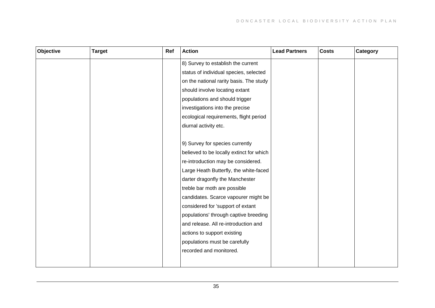| Objective | <b>Target</b> | Ref | <b>Action</b>                            | <b>Lead Partners</b> | <b>Costs</b> | Category |
|-----------|---------------|-----|------------------------------------------|----------------------|--------------|----------|
|           |               |     | 8) Survey to establish the current       |                      |              |          |
|           |               |     | status of individual species, selected   |                      |              |          |
|           |               |     | on the national rarity basis. The study  |                      |              |          |
|           |               |     | should involve locating extant           |                      |              |          |
|           |               |     | populations and should trigger           |                      |              |          |
|           |               |     | investigations into the precise          |                      |              |          |
|           |               |     | ecological requirements, flight period   |                      |              |          |
|           |               |     | diurnal activity etc.                    |                      |              |          |
|           |               |     |                                          |                      |              |          |
|           |               |     | 9) Survey for species currently          |                      |              |          |
|           |               |     | believed to be locally extinct for which |                      |              |          |
|           |               |     | re-introduction may be considered.       |                      |              |          |
|           |               |     | Large Heath Butterfly, the white-faced   |                      |              |          |
|           |               |     | darter dragonfly the Manchester          |                      |              |          |
|           |               |     | treble bar moth are possible             |                      |              |          |
|           |               |     | candidates. Scarce vapourer might be     |                      |              |          |
|           |               |     | considered for 'support of extant        |                      |              |          |
|           |               |     | populations' through captive breeding    |                      |              |          |
|           |               |     | and release. All re-introduction and     |                      |              |          |
|           |               |     | actions to support existing              |                      |              |          |
|           |               |     | populations must be carefully            |                      |              |          |
|           |               |     | recorded and monitored.                  |                      |              |          |
|           |               |     |                                          |                      |              |          |
|           |               |     |                                          |                      |              |          |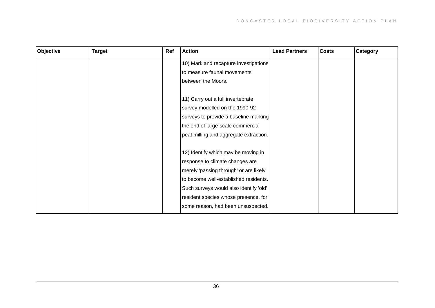| Objective | <b>Target</b> | Ref | <b>Action</b>                          | <b>Lead Partners</b> | <b>Costs</b> | Category |
|-----------|---------------|-----|----------------------------------------|----------------------|--------------|----------|
|           |               |     | 10) Mark and recapture investigations  |                      |              |          |
|           |               |     | to measure faunal movements            |                      |              |          |
|           |               |     | between the Moors.                     |                      |              |          |
|           |               |     |                                        |                      |              |          |
|           |               |     | 11) Carry out a full invertebrate      |                      |              |          |
|           |               |     | survey modelled on the 1990-92         |                      |              |          |
|           |               |     | surveys to provide a baseline marking  |                      |              |          |
|           |               |     | the end of large-scale commercial      |                      |              |          |
|           |               |     | peat milling and aggregate extraction. |                      |              |          |
|           |               |     |                                        |                      |              |          |
|           |               |     | 12) Identify which may be moving in    |                      |              |          |
|           |               |     | response to climate changes are        |                      |              |          |
|           |               |     | merely 'passing through' or are likely |                      |              |          |
|           |               |     | to become well-established residents.  |                      |              |          |
|           |               |     | Such surveys would also identify 'old' |                      |              |          |
|           |               |     | resident species whose presence, for   |                      |              |          |
|           |               |     | some reason, had been unsuspected.     |                      |              |          |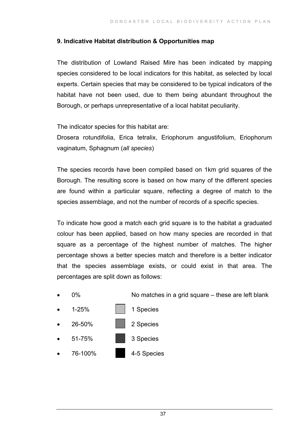#### **9. Indicative Habitat distribution & Opportunities map**

The distribution of Lowland Raised Mire has been indicated by mapping species considered to be local indicators for this habitat, as selected by local experts. Certain species that may be considered to be typical indicators of the habitat have not been used, due to them being abundant throughout the Borough, or perhaps unrepresentative of a local habitat peculiarity.

The indicator species for this habitat are:

Drosera rotundifolia, Erica tetralix, Eriophorum angustifolium, Eriophorum vaginatum, Sphagnum (*all species*)

The species records have been compiled based on 1km grid squares of the Borough. The resulting score is based on how many of the different species are found within a particular square, reflecting a degree of match to the species assemblage, and not the number of records of a specific species.

To indicate how good a match each grid square is to the habitat a graduated colour has been applied, based on how many species are recorded in that square as a percentage of the highest number of matches. The higher percentage shows a better species match and therefore is a better indicator that the species assemblage exists, or could exist in that area. The percentages are split down as follows: